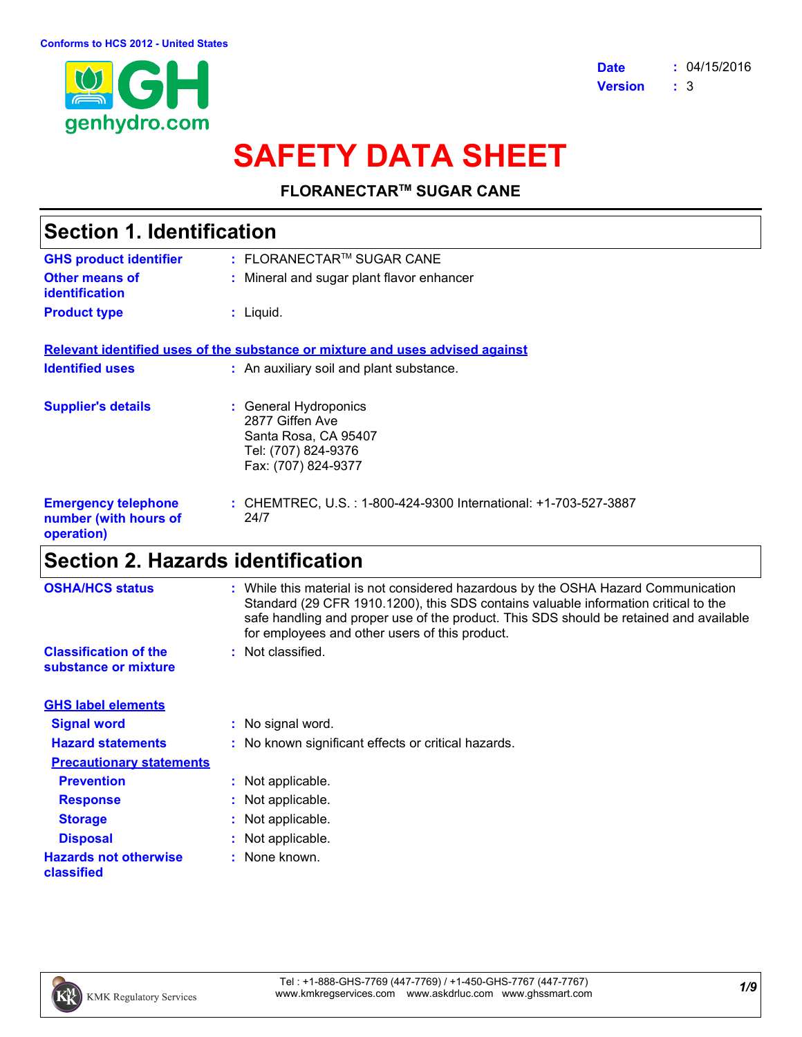

# **SAFETY DATA SHEET**

**FLORANECTARTM SUGAR CANE**

| <b>Section 1. Identification</b>                                  |                                                                                                                |  |
|-------------------------------------------------------------------|----------------------------------------------------------------------------------------------------------------|--|
| <b>GHS product identifier</b>                                     | $:$ FLORANECTAR™ SUGAR CANE                                                                                    |  |
| <b>Other means of</b><br>identification                           | : Mineral and sugar plant flavor enhancer                                                                      |  |
| <b>Product type</b>                                               | $:$ Liquid.                                                                                                    |  |
|                                                                   | Relevant identified uses of the substance or mixture and uses advised against                                  |  |
| <b>Identified uses</b>                                            | : An auxiliary soil and plant substance.                                                                       |  |
| <b>Supplier's details</b>                                         | : General Hydroponics<br>2877 Giffen Ave<br>Santa Rosa, CA 95407<br>Tel: (707) 824-9376<br>Fax: (707) 824-9377 |  |
| <b>Emergency telephone</b><br>number (with hours of<br>operation) | : CHEMTREC, U.S. : 1-800-424-9300 International: +1-703-527-3887<br>24/7                                       |  |
|                                                                   |                                                                                                                |  |

### **Section 2. Hazards identification**

| <b>OSHA/HCS status</b>                               | : While this material is not considered hazardous by the OSHA Hazard Communication<br>Standard (29 CFR 1910.1200), this SDS contains valuable information critical to the<br>safe handling and proper use of the product. This SDS should be retained and available<br>for employees and other users of this product. |
|------------------------------------------------------|-----------------------------------------------------------------------------------------------------------------------------------------------------------------------------------------------------------------------------------------------------------------------------------------------------------------------|
| <b>Classification of the</b><br>substance or mixture | : Not classified.                                                                                                                                                                                                                                                                                                     |
| <b>GHS label elements</b>                            |                                                                                                                                                                                                                                                                                                                       |
| <b>Signal word</b>                                   | : No signal word.                                                                                                                                                                                                                                                                                                     |
| <b>Hazard statements</b>                             | : No known significant effects or critical hazards.                                                                                                                                                                                                                                                                   |
| <b>Precautionary statements</b>                      |                                                                                                                                                                                                                                                                                                                       |
| <b>Prevention</b>                                    | : Not applicable.                                                                                                                                                                                                                                                                                                     |
| <b>Response</b>                                      | : Not applicable.                                                                                                                                                                                                                                                                                                     |
| <b>Storage</b>                                       | : Not applicable.                                                                                                                                                                                                                                                                                                     |
| <b>Disposal</b>                                      | : Not applicable.                                                                                                                                                                                                                                                                                                     |
| <b>Hazards not otherwise</b><br>classified           | : None known.                                                                                                                                                                                                                                                                                                         |

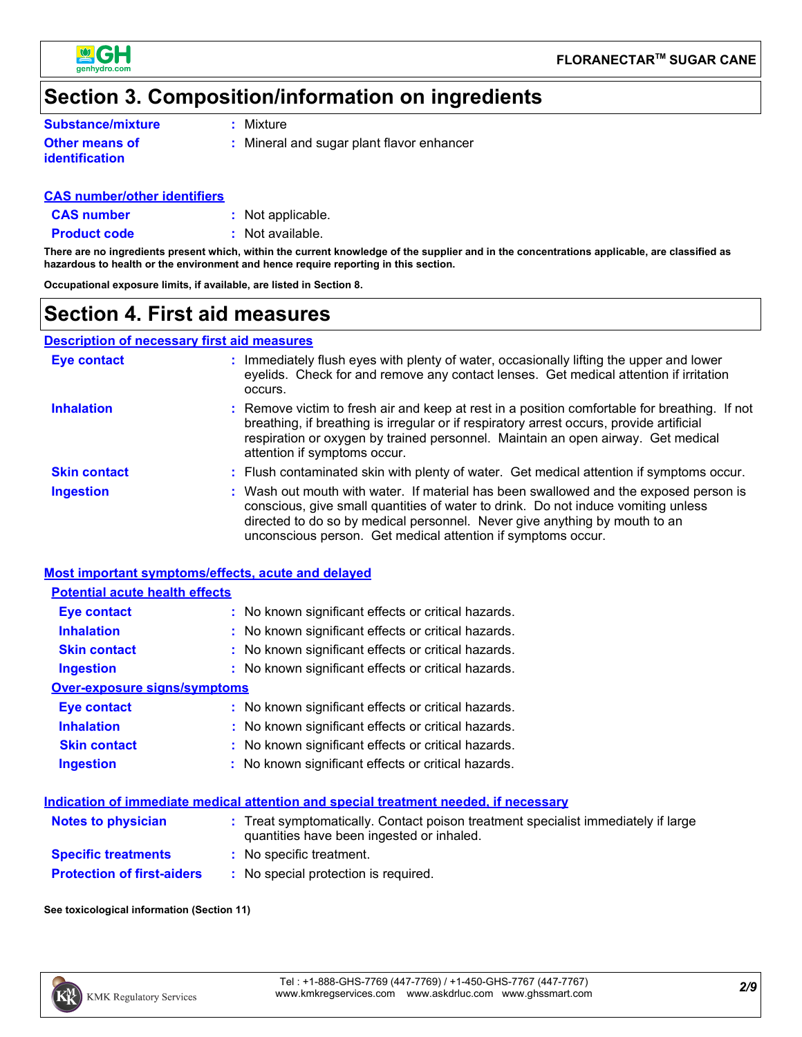

### **Section 3. Composition/information on ingredients**

| <b>Substance/mixture</b> | $:$ Mixture |
|--------------------------|-------------|
|                          |             |

**Other means of identification**

**:** Mineral and sugar plant flavor enhancer

#### **CAS number/other identifiers**

**CAS number :** Not applicable.

**Product code** : Not available.

**There are no ingredients present which, within the current knowledge of the supplier and in the concentrations applicable, are classified as hazardous to health or the environment and hence require reporting in this section.**

**Occupational exposure limits, if available, are listed in Section 8.**

### **Section 4. First aid measures**

#### **Description of necessary first aid measures**

| <b>Eye contact</b>  | : Immediately flush eyes with plenty of water, occasionally lifting the upper and lower<br>eyelids. Check for and remove any contact lenses. Get medical attention if irritation<br>occurs.                                                                                                                              |
|---------------------|--------------------------------------------------------------------------------------------------------------------------------------------------------------------------------------------------------------------------------------------------------------------------------------------------------------------------|
| <b>Inhalation</b>   | : Remove victim to fresh air and keep at rest in a position comfortable for breathing. If not<br>breathing, if breathing is irregular or if respiratory arrest occurs, provide artificial<br>respiration or oxygen by trained personnel. Maintain an open airway. Get medical<br>attention if symptoms occur.            |
| <b>Skin contact</b> | : Flush contaminated skin with plenty of water. Get medical attention if symptoms occur.                                                                                                                                                                                                                                 |
| <b>Ingestion</b>    | : Wash out mouth with water. If material has been swallowed and the exposed person is<br>conscious, give small quantities of water to drink. Do not induce vomiting unless<br>directed to do so by medical personnel. Never give anything by mouth to an<br>unconscious person. Get medical attention if symptoms occur. |

#### **Most important symptoms/effects, acute and delayed**

| <b>Potential acute health effects</b> |                                                     |  |  |  |
|---------------------------------------|-----------------------------------------------------|--|--|--|
| <b>Eye contact</b>                    | : No known significant effects or critical hazards. |  |  |  |
| <b>Inhalation</b>                     | : No known significant effects or critical hazards. |  |  |  |
| <b>Skin contact</b>                   | : No known significant effects or critical hazards. |  |  |  |
| Ingestion                             | : No known significant effects or critical hazards. |  |  |  |
| Over-exposure signs/symptoms          |                                                     |  |  |  |
| Eye contact                           | : No known significant effects or critical hazards. |  |  |  |
| <b>Inhalation</b>                     | : No known significant effects or critical hazards. |  |  |  |
| <b>Skin contact</b>                   | : No known significant effects or critical hazards. |  |  |  |
| <b>Ingestion</b>                      | : No known significant effects or critical hazards. |  |  |  |

#### **Indication of immediate medical attention and special treatment needed, if necessary**

| <b>Notes to physician</b>         | : Treat symptomatically. Contact poison treatment specialist immediately if large<br>quantities have been ingested or inhaled. |
|-----------------------------------|--------------------------------------------------------------------------------------------------------------------------------|
| <b>Specific treatments</b>        | : No specific treatment.                                                                                                       |
| <b>Protection of first-aiders</b> | : No special protection is required.                                                                                           |

#### **See toxicological information (Section 11)**

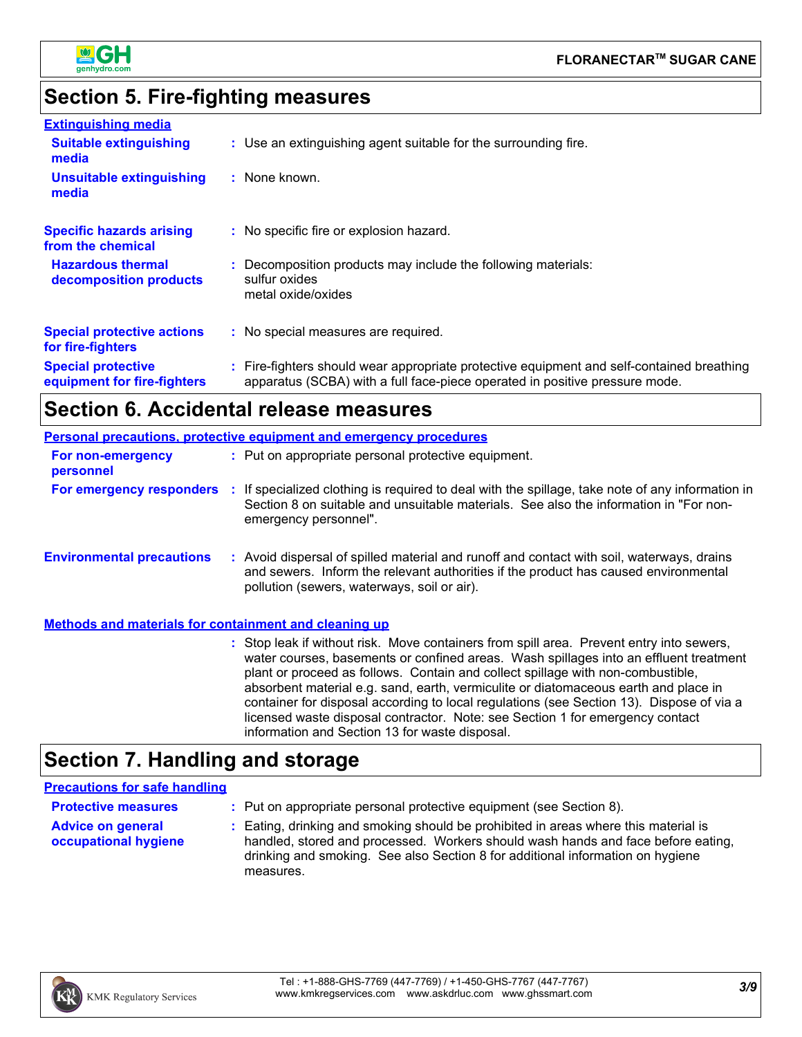

### **Section 5. Fire-fighting measures**

| <b>Extinguishing media</b>                               |                                                                                                                                                                          |
|----------------------------------------------------------|--------------------------------------------------------------------------------------------------------------------------------------------------------------------------|
| <b>Suitable extinguishing</b><br>media                   | : Use an extinguishing agent suitable for the surrounding fire.                                                                                                          |
| <b>Unsuitable extinguishing</b><br>media                 | : None known.                                                                                                                                                            |
| <b>Specific hazards arising</b><br>from the chemical     | : No specific fire or explosion hazard.                                                                                                                                  |
| <b>Hazardous thermal</b><br>decomposition products       | : Decomposition products may include the following materials:<br>sulfur oxides<br>metal oxide/oxides                                                                     |
| <b>Special protective actions</b><br>for fire-fighters   | : No special measures are required.                                                                                                                                      |
| <b>Special protective</b><br>equipment for fire-fighters | : Fire-fighters should wear appropriate protective equipment and self-contained breathing<br>apparatus (SCBA) with a full face-piece operated in positive pressure mode. |

## **Section 6. Accidental release measures**

|                                                       | <b>Personal precautions, protective equipment and emergency procedures</b>                                                                                                                                                                                                                                                                                                                                                                                                                                                               |  |
|-------------------------------------------------------|------------------------------------------------------------------------------------------------------------------------------------------------------------------------------------------------------------------------------------------------------------------------------------------------------------------------------------------------------------------------------------------------------------------------------------------------------------------------------------------------------------------------------------------|--|
| For non-emergency<br>personnel                        | : Put on appropriate personal protective equipment.                                                                                                                                                                                                                                                                                                                                                                                                                                                                                      |  |
|                                                       | For emergency responders : If specialized clothing is required to deal with the spillage, take note of any information in<br>Section 8 on suitable and unsuitable materials. See also the information in "For non-<br>emergency personnel".                                                                                                                                                                                                                                                                                              |  |
| <b>Environmental precautions</b>                      | : Avoid dispersal of spilled material and runoff and contact with soil, waterways, drains<br>and sewers. Inform the relevant authorities if the product has caused environmental<br>pollution (sewers, waterways, soil or air).                                                                                                                                                                                                                                                                                                          |  |
| Methods and materials for containment and cleaning up |                                                                                                                                                                                                                                                                                                                                                                                                                                                                                                                                          |  |
|                                                       | : Stop leak if without risk. Move containers from spill area. Prevent entry into sewers,<br>water courses, basements or confined areas. Wash spillages into an effluent treatment<br>plant or proceed as follows. Contain and collect spillage with non-combustible,<br>absorbent material e.g. sand, earth, vermiculite or diatomaceous earth and place in<br>container for disposal according to local regulations (see Section 13). Dispose of via a<br>licensed waste disposal contractor. Note: see Section 1 for emergency contact |  |

information and Section 13 for waste disposal.

### **Section 7. Handling and storage**

#### **Precautions for safe handling**

| <b>Protective measures</b>                       | : Put on appropriate personal protective equipment (see Section 8).                                                                                                                                                                                                    |
|--------------------------------------------------|------------------------------------------------------------------------------------------------------------------------------------------------------------------------------------------------------------------------------------------------------------------------|
| <b>Advice on general</b><br>occupational hygiene | : Eating, drinking and smoking should be prohibited in areas where this material is<br>handled, stored and processed. Workers should wash hands and face before eating,<br>drinking and smoking. See also Section 8 for additional information on hygiene<br>measures. |

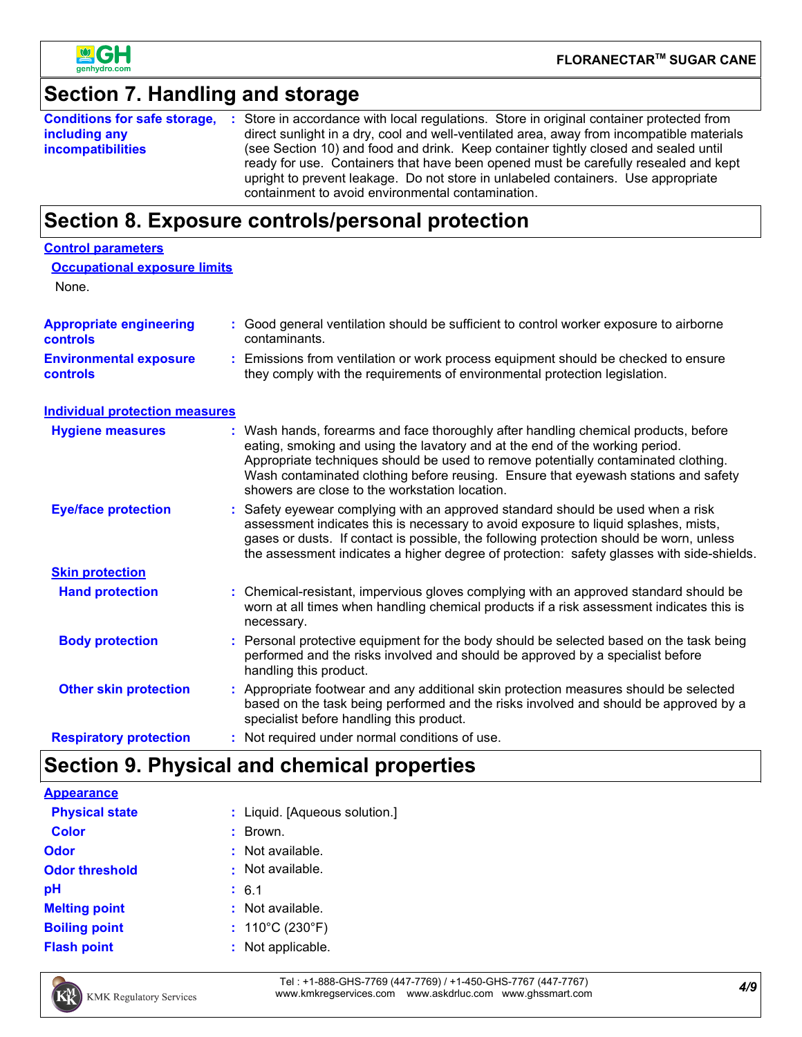

**Control parameters**

### **Section 7. Handling and storage**

|                          | <b>Conditions for safe storage, :</b> Store in accordance with local regulations. Store in original container protected from |  |  |
|--------------------------|------------------------------------------------------------------------------------------------------------------------------|--|--|
| including any            | direct sunlight in a dry, cool and well-ventilated area, away from incompatible materials                                    |  |  |
| <b>incompatibilities</b> | (see Section 10) and food and drink. Keep container tightly closed and sealed until                                          |  |  |
|                          | ready for use. Containers that have been opened must be carefully resealed and kept                                          |  |  |
|                          | upright to prevent leakage. Do not store in unlabeled containers. Use appropriate                                            |  |  |
|                          | containment to avoid environmental contamination.                                                                            |  |  |

### **Section 8. Exposure controls/personal protection**

| <b>Occupational exposure limits</b><br>None.     |    |                                                                                                                                                                                                                                                                                                                                                                                                 |
|--------------------------------------------------|----|-------------------------------------------------------------------------------------------------------------------------------------------------------------------------------------------------------------------------------------------------------------------------------------------------------------------------------------------------------------------------------------------------|
| <b>Appropriate engineering</b><br>controls       |    | Good general ventilation should be sufficient to control worker exposure to airborne<br>contaminants.                                                                                                                                                                                                                                                                                           |
| <b>Environmental exposure</b><br><b>controls</b> | t. | Emissions from ventilation or work process equipment should be checked to ensure<br>they comply with the requirements of environmental protection legislation.                                                                                                                                                                                                                                  |
| <b>Individual protection measures</b>            |    |                                                                                                                                                                                                                                                                                                                                                                                                 |
| <b>Hygiene measures</b>                          |    | Wash hands, forearms and face thoroughly after handling chemical products, before<br>eating, smoking and using the lavatory and at the end of the working period.<br>Appropriate techniques should be used to remove potentially contaminated clothing.<br>Wash contaminated clothing before reusing. Ensure that eyewash stations and safety<br>showers are close to the workstation location. |
| <b>Eye/face protection</b>                       |    | Safety eyewear complying with an approved standard should be used when a risk<br>assessment indicates this is necessary to avoid exposure to liquid splashes, mists,<br>gases or dusts. If contact is possible, the following protection should be worn, unless<br>the assessment indicates a higher degree of protection: safety glasses with side-shields.                                    |
| <b>Skin protection</b>                           |    |                                                                                                                                                                                                                                                                                                                                                                                                 |
| <b>Hand protection</b>                           |    | Chemical-resistant, impervious gloves complying with an approved standard should be<br>worn at all times when handling chemical products if a risk assessment indicates this is<br>necessary.                                                                                                                                                                                                   |
| <b>Body protection</b>                           |    | Personal protective equipment for the body should be selected based on the task being<br>performed and the risks involved and should be approved by a specialist before<br>handling this product.                                                                                                                                                                                               |
| <b>Other skin protection</b>                     |    | Appropriate footwear and any additional skin protection measures should be selected<br>based on the task being performed and the risks involved and should be approved by a<br>specialist before handling this product.                                                                                                                                                                         |
| <b>Respiratory protection</b>                    |    | : Not required under normal conditions of use.                                                                                                                                                                                                                                                                                                                                                  |

### **Section 9. Physical and chemical properties**

| <b>Appearance</b>     |                                      |
|-----------------------|--------------------------------------|
| <b>Physical state</b> | : Liquid. [Aqueous solution.]        |
| <b>Color</b>          | Brown.                               |
| <b>Odor</b>           | $:$ Not available.                   |
| <b>Odor threshold</b> | : Not available.                     |
| рH                    | : 6.1                                |
| <b>Melting point</b>  | $:$ Not available.                   |
| <b>Boiling point</b>  | : $110^{\circ}$ C (230 $^{\circ}$ F) |
| <b>Flash point</b>    | : Not applicable.                    |



*4/9* Tel : +1-888-GHS-7769 (447-7769) / +1-450-GHS-7767 (447-7767) www.kmkregservices.com www.askdrluc.com www.ghssmart.com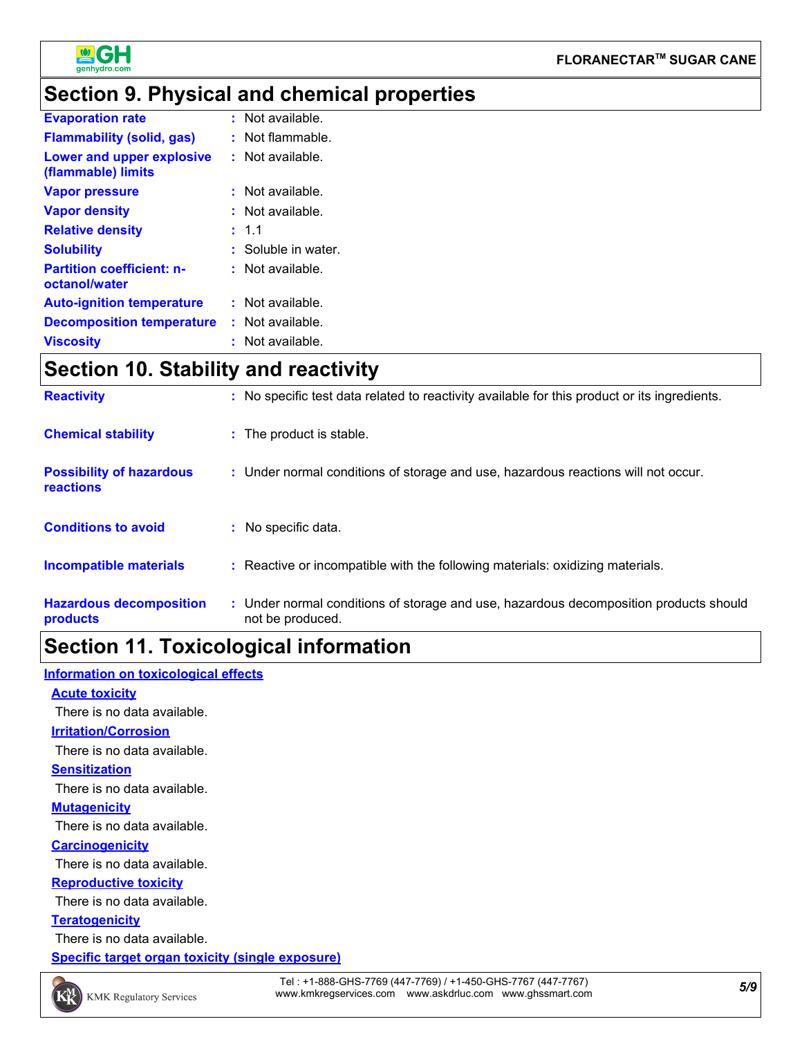

### **Section 9. Physical and chemical properties**

| <b>Evaporation rate</b>                           | $:$ Not available.  |
|---------------------------------------------------|---------------------|
| <b>Flammability (solid, gas)</b>                  | $:$ Not flammable.  |
| Lower and upper explosive<br>(flammable) limits   | : Not available.    |
| <b>Vapor pressure</b>                             | : Not available.    |
| <b>Vapor density</b>                              | $:$ Not available.  |
| <b>Relative density</b>                           | : 1.1               |
| <b>Solubility</b>                                 | : Soluble in water. |
| <b>Partition coefficient: n-</b><br>octanol/water | $:$ Not available.  |
| <b>Auto-ignition temperature</b>                  | : Not available.    |
| <b>Decomposition temperature</b>                  | : Not available.    |
| <b>Viscosity</b>                                  | Not available.      |

### **Section 10. Stability and reactivity**

| <b>Reactivity</b>                                   | : No specific test data related to reactivity available for this product or its ingredients.              |
|-----------------------------------------------------|-----------------------------------------------------------------------------------------------------------|
| <b>Chemical stability</b>                           | : The product is stable.                                                                                  |
| <b>Possibility of hazardous</b><br><b>reactions</b> | : Under normal conditions of storage and use, hazardous reactions will not occur.                         |
| <b>Conditions to avoid</b>                          | : No specific data.                                                                                       |
| <b>Incompatible materials</b>                       | : Reactive or incompatible with the following materials: oxidizing materials.                             |
| <b>Hazardous decomposition</b><br>products          | : Under normal conditions of storage and use, hazardous decomposition products should<br>not be produced. |

### **Section 11. Toxicological information**

#### **Information on toxicological effects**

**Acute toxicity Irritation/Corrosion Sensitization** There is no data available. There is no data available.

There is no data available.

#### **Mutagenicity**

There is no data available.

#### **Carcinogenicity**

There is no data available.

#### **Reproductive toxicity**

There is no data available.

#### **Teratogenicity**

There is no data available.

**Specific target organ toxicity (single exposure)**

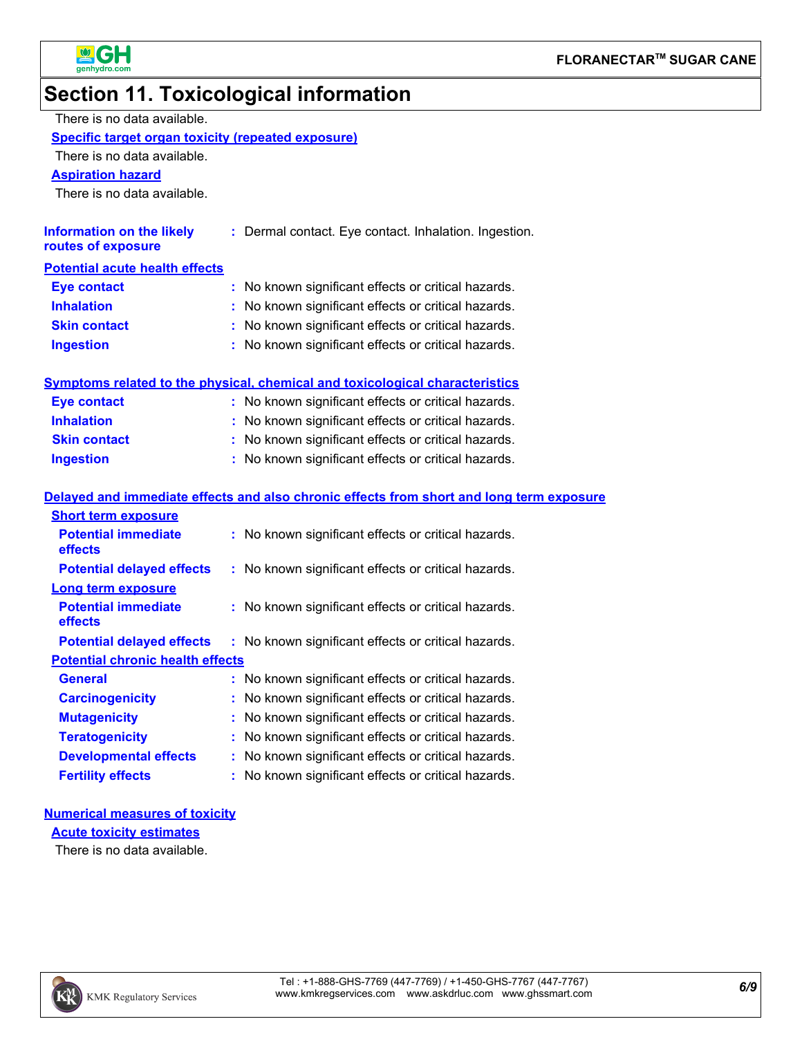



### **Section 11. Toxicological information**

| There is no data available.                               |                                                                                          |
|-----------------------------------------------------------|------------------------------------------------------------------------------------------|
| <b>Specific target organ toxicity (repeated exposure)</b> |                                                                                          |
| There is no data available.                               |                                                                                          |
| <b>Aspiration hazard</b>                                  |                                                                                          |
| There is no data available.                               |                                                                                          |
|                                                           |                                                                                          |
| <b>Information on the likely</b><br>routes of exposure    | : Dermal contact. Eye contact. Inhalation. Ingestion.                                    |
| <b>Potential acute health effects</b>                     |                                                                                          |
| <b>Eye contact</b>                                        | : No known significant effects or critical hazards.                                      |
| <b>Inhalation</b>                                         | No known significant effects or critical hazards.                                        |
| <b>Skin contact</b>                                       | No known significant effects or critical hazards.                                        |
| <b>Ingestion</b>                                          | No known significant effects or critical hazards.                                        |
|                                                           |                                                                                          |
|                                                           | <b>Symptoms related to the physical, chemical and toxicological characteristics</b>      |
| <b>Eye contact</b>                                        | : No known significant effects or critical hazards.                                      |
| <b>Inhalation</b>                                         | No known significant effects or critical hazards.                                        |
| <b>Skin contact</b>                                       | No known significant effects or critical hazards.                                        |
| <b>Ingestion</b>                                          | : No known significant effects or critical hazards.                                      |
|                                                           |                                                                                          |
|                                                           | Delayed and immediate effects and also chronic effects from short and long term exposure |
| <b>Short term exposure</b>                                |                                                                                          |
| <b>Potential immediate</b><br>effects                     | : No known significant effects or critical hazards.                                      |
| <b>Potential delayed effects</b>                          | : No known significant effects or critical hazards.                                      |
| Long term exposure                                        |                                                                                          |
| <b>Potential immediate</b><br>effects                     | : No known significant effects or critical hazards.                                      |
| <b>Potential delayed effects</b>                          | : No known significant effects or critical hazards.                                      |
| <b>Potential chronic health effects</b>                   |                                                                                          |
| <b>General</b>                                            | No known significant effects or critical hazards.                                        |
| <b>Carcinogenicity</b>                                    | No known significant effects or critical hazards.                                        |
| <b>Mutagenicity</b>                                       | No known significant effects or critical hazards.                                        |
| <b>Teratogenicity</b>                                     | No known significant effects or critical hazards.                                        |
| <b>Developmental effects</b>                              | No known significant effects or critical hazards.                                        |
| <b>Fertility effects</b>                                  | No known significant effects or critical hazards.                                        |

#### **Numerical measures of toxicity**

**Acute toxicity estimates**

There is no data available.

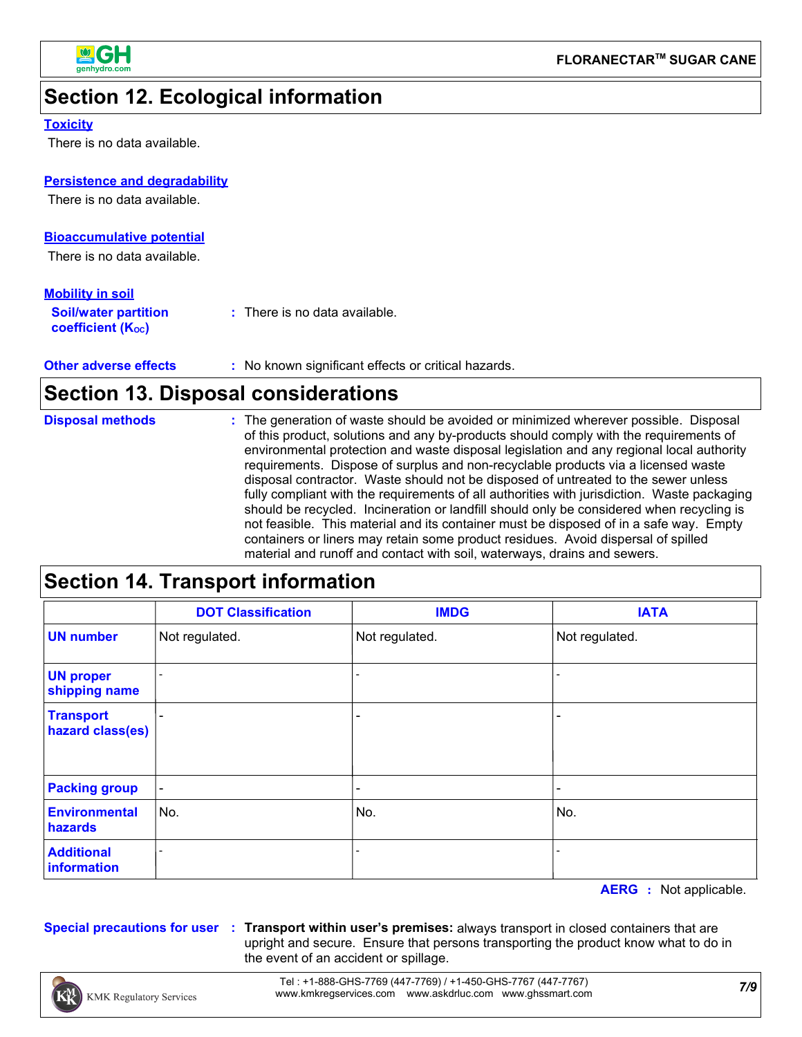

### **Section 12. Ecological information**

#### **Toxicity**

There is no data available.

#### **Persistence and degradability**

There is no data available.

#### **Bioaccumulative potential**

There is no data available.

#### **Mobility in soil**

| <b>Soil/water partition</b><br>coefficient (K <sub>oc</sub> ) | : There is no data available. |
|---------------------------------------------------------------|-------------------------------|
|                                                               |                               |

**Other adverse effects** : No known significant effects or critical hazards.

### **Section 13. Disposal considerations**

| <b>Disposal methods</b> | : The generation of waste should be avoided or minimized wherever possible. Disposal                                                                                              |
|-------------------------|-----------------------------------------------------------------------------------------------------------------------------------------------------------------------------------|
|                         | of this product, solutions and any by-products should comply with the requirements of<br>environmental protection and waste disposal legislation and any regional local authority |
|                         | requirements. Dispose of surplus and non-recyclable products via a licensed waste                                                                                                 |
|                         | disposal contractor. Waste should not be disposed of untreated to the sewer unless                                                                                                |
|                         | fully compliant with the requirements of all authorities with jurisdiction. Waste packaging                                                                                       |
|                         | should be recycled. Incineration or landfill should only be considered when recycling is                                                                                          |
|                         | not feasible. This material and its container must be disposed of in a safe way. Empty                                                                                            |
|                         | containers or liners may retain some product residues. Avoid dispersal of spilled                                                                                                 |
|                         | material and runoff and contact with soil, waterways, drains and sewers.                                                                                                          |

### **Section 14. Transport information**

|                                      | <b>DOT Classification</b> | <b>IMDG</b>    | <b>IATA</b>    |
|--------------------------------------|---------------------------|----------------|----------------|
| <b>UN number</b>                     | Not regulated.            | Not regulated. | Not regulated. |
| <b>UN proper</b><br>shipping name    |                           |                |                |
| <b>Transport</b><br>hazard class(es) |                           | ٠              |                |
| <b>Packing group</b>                 | $\blacksquare$            |                |                |
| <b>Environmental</b><br>hazards      | No.                       | No.            | No.            |
| <b>Additional</b><br>information     |                           |                |                |

**AERG :** Not applicable.

**Special precautions for user Transport within user's premises:** always transport in closed containers that are **:** upright and secure. Ensure that persons transporting the product know what to do in the event of an accident or spillage.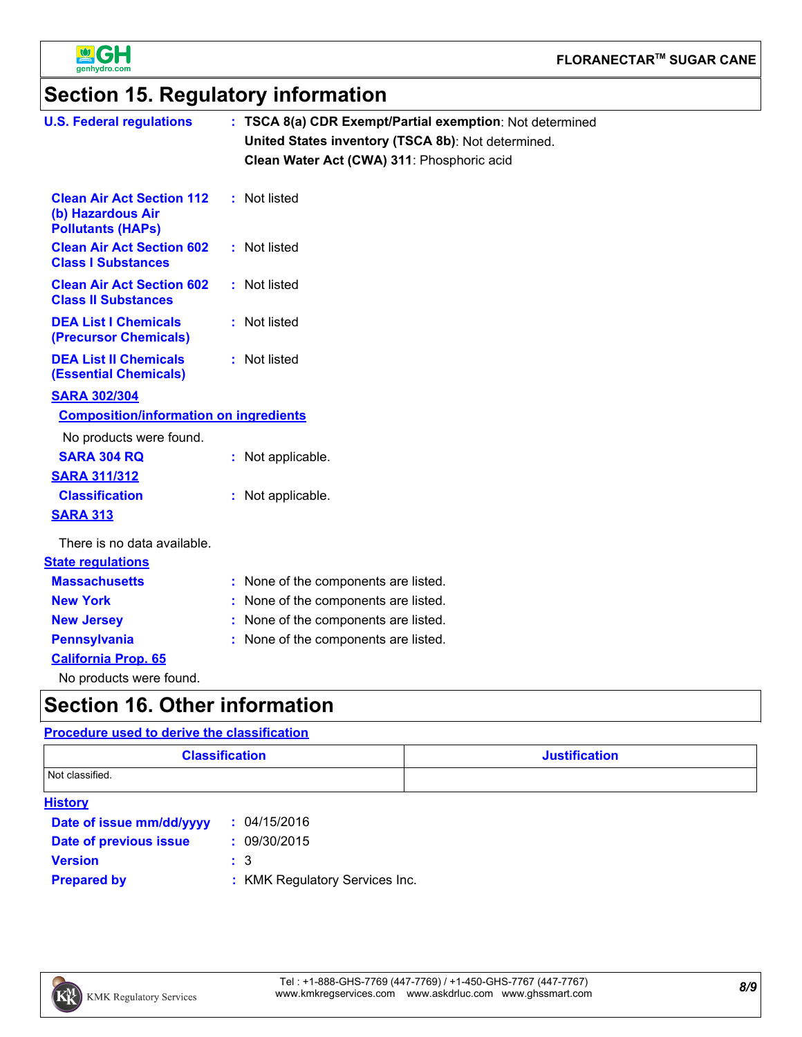

### **Section 15. Regulatory information**

| <b>U.S. Federal regulations</b>                                                   | : TSCA 8(a) CDR Exempt/Partial exemption: Not determined<br>United States inventory (TSCA 8b): Not determined.<br>Clean Water Act (CWA) 311: Phosphoric acid |
|-----------------------------------------------------------------------------------|--------------------------------------------------------------------------------------------------------------------------------------------------------------|
| <b>Clean Air Act Section 112</b><br>(b) Hazardous Air<br><b>Pollutants (HAPs)</b> | : Not listed                                                                                                                                                 |
| <b>Clean Air Act Section 602</b><br><b>Class I Substances</b>                     | : Not listed                                                                                                                                                 |
| <b>Clean Air Act Section 602</b><br><b>Class II Substances</b>                    | : Not listed                                                                                                                                                 |
| <b>DEA List I Chemicals</b><br>(Precursor Chemicals)                              | : Not listed                                                                                                                                                 |
| <b>DEA List II Chemicals</b><br><b>(Essential Chemicals)</b>                      | : Not listed                                                                                                                                                 |
| <b>SARA 302/304</b>                                                               |                                                                                                                                                              |
| <b>Composition/information on ingredients</b>                                     |                                                                                                                                                              |
| No products were found.                                                           |                                                                                                                                                              |
| <b>SARA 304 RQ</b>                                                                | : Not applicable.                                                                                                                                            |
| <b>SARA 311/312</b>                                                               |                                                                                                                                                              |
| <b>Classification</b>                                                             | : Not applicable.                                                                                                                                            |
| <b>SARA 313</b>                                                                   |                                                                                                                                                              |
| There is no data available.                                                       |                                                                                                                                                              |
| <b>State regulations</b>                                                          |                                                                                                                                                              |
| <b>Massachusetts</b>                                                              | : None of the components are listed.                                                                                                                         |
| <b>New York</b>                                                                   | : None of the components are listed.                                                                                                                         |
| <b>New Jersey</b>                                                                 | : None of the components are listed.                                                                                                                         |
| <b>Pennsylvania</b>                                                               | : None of the components are listed.                                                                                                                         |
| <b>California Prop. 65</b>                                                        |                                                                                                                                                              |
| No products were found.                                                           |                                                                                                                                                              |
| <b>Section 16. Other information</b>                                              |                                                                                                                                                              |

#### **History Procedure used to derive the classification Classification Justification** Not classified. **Date of issue mm/dd/yyyy Prepared by : Date of previous issue Version : :** 04/15/2016 **:** 09/30/2015 3 : KMK Regulatory Services Inc.